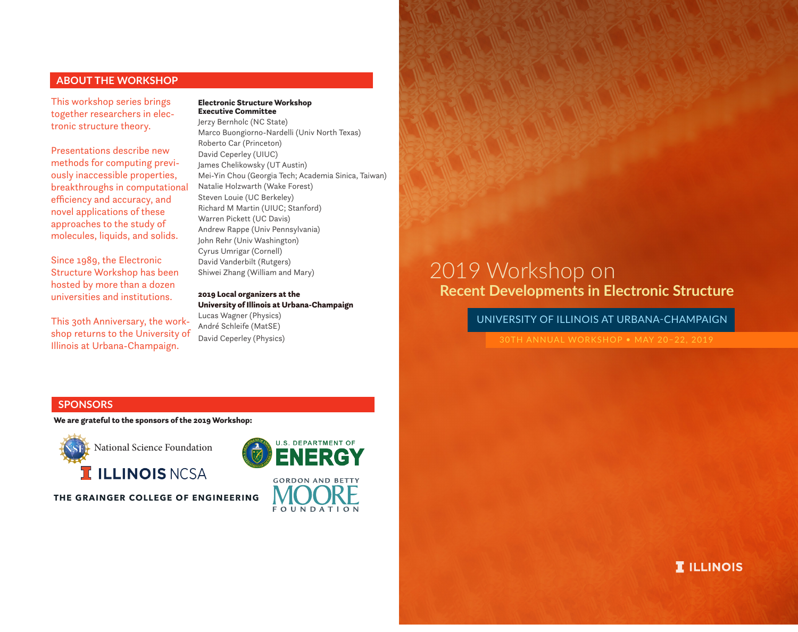# **ABOUT THE WORKSHOP**

This workshop series brings together researchers in electronic structure theory.

Presentations describe new methods for computing previously inaccessible properties, breakthroughs in computational efficiency and accuracy, and novel applications of these approaches to the study of molecules, liquids, and solids.

Since 1989, the Electronic Structure Workshop has been hosted by more than a dozen universities and institutions.

This 3oth Anniversary, the workshop returns to the University of Illinois at Urbana-Champaign.

#### Electronic Structure Workshop Executive Committee

Jerzy Bernholc (NC State) Marco Buongiorno-Nardelli (Univ North Texas) Roberto Car (Princeton) David Ceperley (UIUC) James Chelikowsky (UT Austin) Mei-Yin Chou (Georgia Tech; Academia Sinica, Taiwan) Natalie Holzwarth (Wake Forest) Steven Louie (UC Berkeley) Richard M Martin (UIUC; Stanford) Warren Pickett (UC Davis) Andrew Rappe (Univ Pennsylvania) John Rehr (Univ Washington) Cyrus Umrigar (Cornell) David Vanderbilt (Rutgers) Shiwei Zhang (William and Mary)

# 2019 Local organizers at the University of Illinois at Urbana-Champaign Lucas Wagner (Physics) André Schleife (MatSE)

David Ceperley (Physics)

# **Recent Developments in Electronic Structure** 2019 Workshop on

UNIVERSITY OF ILLINOIS AT URBANA-CHAMPAIGN

# **SPONSORS**

We are grateful to the sponsors of the 2019 Workshop:



**THE GRAINGER COLLEGE OF ENGINEERING**